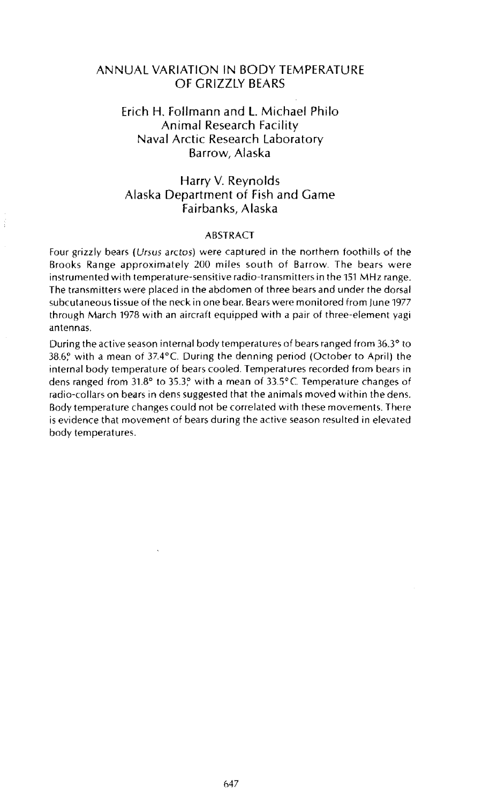## ANNUAL VARIATION IN BODY TEMPERATURE OF GRIZZLY BEARS

## Erich H. Follmann and L Michael Philo Animal Research Facility Naval Arctic Research Laboratory Barrow, Alaska

## Harry V. Reynolds Alaska Department of Fish and Game Fairbanks, Alaska

## ABSTRACT

Four grizzly bears (Ursus arctos) were captured in the northern foothills of the Brooks Range approximately 200 miles south of Barrow. The bears were instrumented with temperature-sensitive radio-transmitters in the 151 MHz range. The transmitters were placed in the abdomen of three bears and under the dorsal subcutaneous tissue of the neck in one bear. Bears were monitored from June 1977 through March 1978 with an aircraft equipped with a pair of three-element yagi antennas.

During the active season internal body temperatures of bears ranged from 36.3° to 38.6? with a mean of 37.4°C During the denning period (October to April) the internal body temperature of bears cooled. Temperatures recorded from bears in dens ranged from 31.8° to 35.3? with a mean of 33.5°C Temperature changes of radio-collars on bears in dens suggested that the animals moved within the dens. Body temperature changes could not be correlated with these movements. There is evidence that movement of bears during the active season resulted in elevated body temperatures.